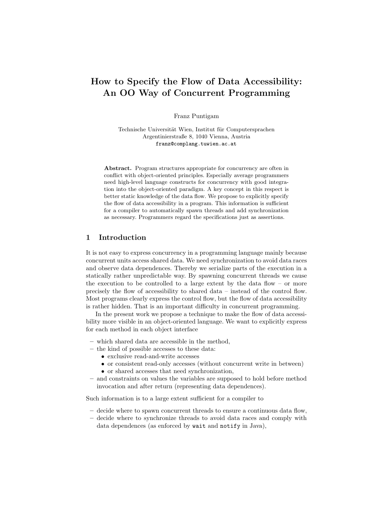# How to Specify the Flow of Data Accessibility: An OO Way of Concurrent Programming

Franz Puntigam

Technische Universität Wien, Institut für Computersprachen Argentinierstraße 8, 1040 Vienna, Austria franz@complang.tuwien.ac.at

Abstract. Program structures appropriate for concurrency are often in conflict with object-oriented principles. Especially average programmers need high-level language constructs for concurrency with good integration into the object-oriented paradigm. A key concept in this respect is better static knowledge of the data flow. We propose to explicitly specify the flow of data accessibility in a program. This information is sufficient for a compiler to automatically spawn threads and add synchronization as necessary. Programmers regard the specifications just as assertions.

#### 1 Introduction

It is not easy to express concurrency in a programming language mainly because concurrent units access shared data. We need synchronization to avoid data races and observe data dependences. Thereby we serialize parts of the execution in a statically rather unpredictable way. By spawning concurrent threads we cause the execution to be controlled to a large extent by the data flow – or more precisely the flow of accessibility to shared data – instead of the control flow. Most programs clearly express the control flow, but the flow of data accessibility is rather hidden. That is an important difficulty in concurrent programming.

In the present work we propose a technique to make the flow of data accessibility more visible in an object-oriented language. We want to explicitly express for each method in each object interface

- which shared data are accessible in the method,
- the kind of possible accesses to these data:
	- exclusive read-and-write accesses
	- or consistent read-only accesses (without concurrent write in between)
	- or shared accesses that need synchronization,
- and constraints on values the variables are supposed to hold before method invocation and after return (representing data dependences).

Such information is to a large extent sufficient for a compiler to

- decide where to spawn concurrent threads to ensure a continuous data flow,
- decide where to synchronize threads to avoid data races and comply with data dependences (as enforced by wait and notify in Java),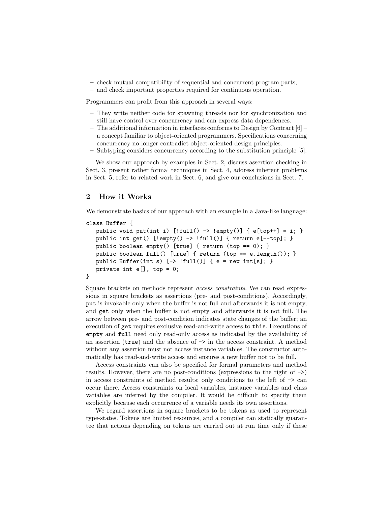- check mutual compatibility of sequential and concurrent program parts,
- and check important properties required for continuous operation.

Programmers can profit from this approach in several ways:

- They write neither code for spawning threads nor for synchronization and still have control over concurrency and can express data dependences.
- The additional information in interfaces conforms to Design by Contract [6] a concept familiar to object-oriented programmers. Specifications concerning concurrency no longer contradict object-oriented design principles.
- Subtyping considers concurrency according to the substitution principle [5].

We show our approach by examples in Sect. 2, discuss assertion checking in Sect. 3, present rather formal techniques in Sect. 4, address inherent problems in Sect. 5, refer to related work in Sect. 6, and give our conclusions in Sect. 7.

# 2 How it Works

We demonstrate basics of our approach with an example in a Java-like language:

```
class Buffer {
  public void put(int i) [!full() \rightarrow !empty()] { e[top++] = i; }
  public int get() [!empty() -> !full()] { return e[--top]; }
   public boolean empty() [true] { return (top == 0); }
   public boolean full() [true] { return (top == e.length()); }
  public Buffer(int s) [-\rangle !full()] { e = new int[s]; }
   private int e[], top = 0;
}
```
Square brackets on methods represent access constraints. We can read expressions in square brackets as assertions (pre- and post-conditions). Accordingly, put is invokable only when the buffer is not full and afterwards it is not empty, and get only when the buffer is not empty and afterwards it is not full. The arrow between pre- and post-condition indicates state changes of the buffer; an execution of get requires exclusive read-and-write access to this. Executions of empty and full need only read-only access as indicated by the availability of an assertion  $(\text{true})$  and the absence of  $\rightarrow$  in the access constraint. A method without any assertion must not access instance variables. The constructor automatically has read-and-write access and ensures a new buffer not to be full.

Access constraints can also be specified for formal parameters and method results. However, there are no post-conditions (expressions to the right of  $\rightarrow$ ) in access constraints of method results; only conditions to the left of -> can occur there. Access constraints on local variables, instance variables and class variables are inferred by the compiler. It would be difficult to specify them explicitly because each occurrence of a variable needs its own assertions.

We regard assertions in square brackets to be tokens as used to represent type-states. Tokens are limited resources, and a compiler can statically guarantee that actions depending on tokens are carried out at run time only if these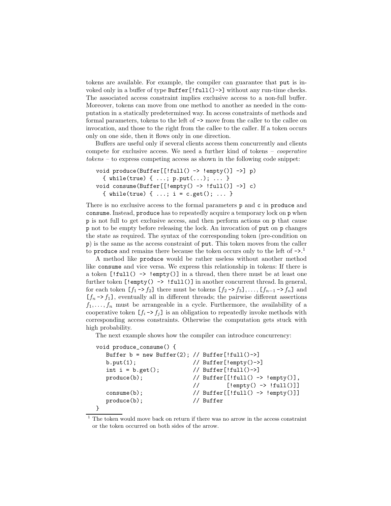tokens are available. For example, the compiler can guarantee that put is invoked only in a buffer of type Buffer [!full()->] without any run-time checks. The associated access constraint implies exclusive access to a non-full buffer. Moreover, tokens can move from one method to another as needed in the computation in a statically predetermined way. In access constraints of methods and formal parameters, tokens to the left of -> move from the caller to the callee on invocation, and those to the right from the callee to the caller. If a token occurs only on one side, then it flows only in one direction.

Buffers are useful only if several clients access them concurrently and clients compete for exclusive access. We need a further kind of tokens – cooperative tokens – to express competing access as shown in the following code snippet:

```
void produce(Buffer[[!full() \rightarrow !empty()] \rightarrow] p)
  { while(true) { ...; p. put(...); ... }
void consume(Buffer[[!empty() -> !full()] ->] c)
  { while(true) { ...; i = c.get(); ... }
```
There is no exclusive access to the formal parameters p and c in produce and consume. Instead, produce has to repeatedly acquire a temporary lock on p when p is not full to get exclusive access, and then perform actions on p that cause p not to be empty before releasing the lock. An invocation of put on p changes the state as required. The syntax of the corresponding token (pre-condition on p) is the same as the access constraint of put. This token moves from the caller to produce and remains there because the token occurs only to the left of  $\sim$ .<sup>1</sup>

A method like produce would be rather useless without another method like consume and vice versa. We express this relationship in tokens: If there is a token  $[!full() \rightarrow !empty()]$  in a thread, then there must be at least one further token  $[!empty() \rightarrow !full()]$  in another concurrent thread. In general, for each token  $[f_1 \rightarrow f_2]$  there must be tokens  $[f_2 \rightarrow f_3], \ldots, [f_{n-1} \rightarrow f_n]$  and  $[f_n \rightarrow f_1]$ , eventually all in different threads; the pairwise different assertions  $f_1, \ldots, f_n$  must be arrangeable in a cycle. Furthermore, the availability of a cooperative token  $[f_i \rightarrow f_j]$  is an obligation to repeatedly invoke methods with corresponding access constraints. Otherwise the computation gets stuck with high probability.

The next example shows how the compiler can introduce concurrency:

```
void produce_consume() {
  Buffer b = new Buffer(2); // Buffer[!full()->]b.put(1); // Buffer[!empty()->]
  int i = b.get(); // Buffer[!full()->]
  \text{produce (b)}; // \text{Buffer}[[!full() \rightarrow !empty()],// [!empty() -> !full()]]
  \text{consum}(b); \text{Vert}\left[\text{[full]} \rightarrow \text{length}(0) \right]produce(b); // Buffer
```

```
}
```
 $1$  The token would move back on return if there was no arrow in the access constraint or the token occurred on both sides of the arrow.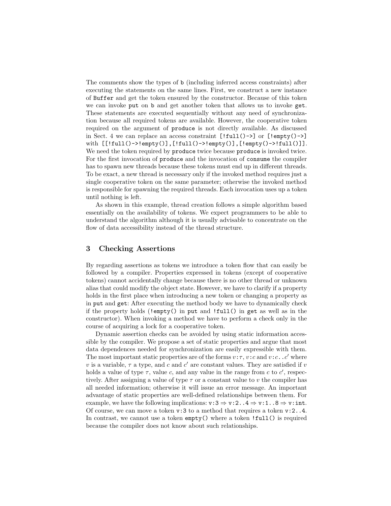The comments show the types of b (including inferred access constraints) after executing the statements on the same lines. First, we construct a new instance of Buffer and get the token ensured by the constructor. Because of this token we can invoke put on b and get another token that allows us to invoke get. These statements are executed sequentially without any need of synchronization because all required tokens are available. However, the cooperative token required on the argument of produce is not directly available. As discussed in Sect. 4 we can replace an access constraint  $[!full() \rightarrow]$  or  $[!empty() \rightarrow]$ with  $[[!full()->!empty()], [!full()->!empty()], [!empty()->!full()]]$ . We need the token required by produce twice because produce is invoked twice. For the first invocation of produce and the invocation of consume the compiler has to spawn new threads because these tokens must end up in different threads. To be exact, a new thread is necessary only if the invoked method requires just a single cooperative token on the same parameter; otherwise the invoked method is responsible for spawning the required threads. Each invocation uses up a token until nothing is left.

As shown in this example, thread creation follows a simple algorithm based essentially on the availability of tokens. We expect programmers to be able to understand the algorithm although it is usually advisable to concentrate on the flow of data accessibility instead of the thread structure.

### 3 Checking Assertions

By regarding assertions as tokens we introduce a token flow that can easily be followed by a compiler. Properties expressed in tokens (except of cooperative tokens) cannot accidentally change because there is no other thread or unknown alias that could modify the object state. However, we have to clarify if a property holds in the first place when introducing a new token or changing a property as in put and get: After executing the method body we have to dynamically check if the property holds (!empty() in put and !full() in get as well as in the constructor). When invoking a method we have to perform a check only in the course of acquiring a lock for a cooperative token.

Dynamic assertion checks can be avoided by using static information accessible by the compiler. We propose a set of static properties and argue that most data dependences needed for synchronization are easily expressible with them. The most important static properties are of the forms  $v:\tau, v:c$  and  $v:c..c'$  where v is a variable,  $\tau$  a type, and c and c' are constant values. They are satisfied if v holds a value of type  $\tau$ , value c, and any value in the range from c to c', respectively. After assigning a value of type  $\tau$  or a constant value to v the compiler has all needed information; otherwise it will issue an error message. An important advantage of static properties are well-defined relationships between them. For example, we have the following implications:  $v:3 \Rightarrow v:2...4 \Rightarrow v:1...8 \Rightarrow v:int.$ Of course, we can move a token v:3 to a method that requires a token v:2..4. In contrast, we cannot use a token empty() where a token !full() is required because the compiler does not know about such relationships.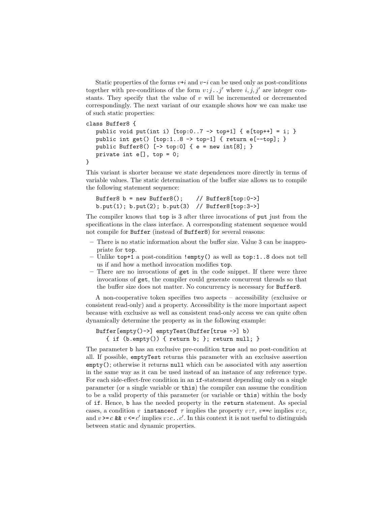Static properties of the forms  $v+i$  and  $v-i$  can be used only as post-conditions together with pre-conditions of the form  $v : j \dots j'$  where  $i, j, j'$  are integer constants. They specify that the value of  $v$  will be incremented or decremented correspondingly. The next variant of our example shows how we can make use of such static properties:

```
class Buffer8 {
   public void put(int i) [top:0..7 \rightarrow top+1] { e[top++] = i; }
   public int get() [top:1..8 \rightarrow top-1] { return e[--top]; }
   public Buffer8() [-\rangle top:0] { e = new int[8]; }
   private int e[], top = 0;
}
```
This variant is shorter because we state dependences more directly in terms of variable values. The static determination of the buffer size allows us to compile the following statement sequence:

```
Buffer8 b = new Buffer8(); // Buffer8[top:0->]
b.put(1); b.put(2); b.put(3) // Buffer8[top:3->]
```
The compiler knows that top is 3 after three invocations of put just from the specifications in the class interface. A corresponding statement sequence would not compile for Buffer (instead of Buffer8) for several reasons:

- There is no static information about the buffer size. Value 3 can be inappropriate for top.
- Unlike top+1 a post-condition !empty() as well as top:1..8 does not tell us if and how a method invocation modifies top.
- There are no invocations of get in the code snippet. If there were three invocations of get, the compiler could generate concurrent threads so that the buffer size does not matter. No concurrency is necessary for Buffer8.

A non-cooperative token specifies two aspects – accessibility (exclusive or consistent read-only) and a property. Accessibility is the more important aspect because with exclusive as well as consistent read-only access we can quite often dynamically determine the property as in the following example:

```
Buffer[empty()->] emptyTest(Buffer[true ->] b)
   { if (b.empty()) { return b; }; return null; }
```
The parameter b has an exclusive pre-condition true and no post-condition at all. If possible, emptyTest returns this parameter with an exclusive assertion empty(); otherwise it returns null which can be associated with any assertion in the same way as it can be used instead of an instance of any reference type. For each side-effect-free condition in an if-statement depending only on a single parameter (or a single variable or this) the compiler can assume the condition to be a valid property of this parameter (or variable or this) within the body of if. Hence, b has the needed property in the return statement. As special cases, a condition v instance of  $\tau$  implies the property  $v:\tau$ ,  $v == c$  implies  $v:c$ , and  $v \geq c$  &  $v \leq c'$  implies  $v : c \dots c'$ . In this context it is not useful to distinguish between static and dynamic properties.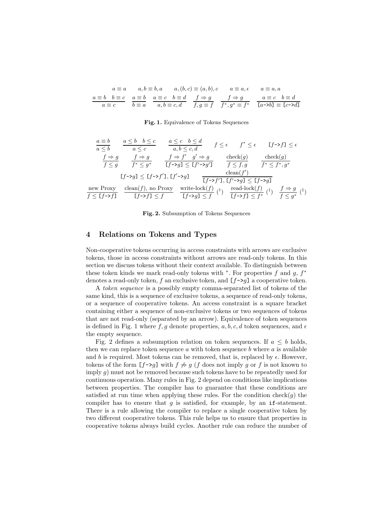$$
a \equiv a \qquad a, b \equiv b, a \qquad a, (b, c) \equiv (a, b), c \qquad a \equiv a, \epsilon \qquad a \equiv a, a
$$

$$
\underline{a \equiv b \quad b \equiv c} \qquad \underline{a \equiv b} \qquad \underline{a \equiv c \quad b \equiv d} \qquad \underline{f \Rightarrow g} \qquad f \Rightarrow g \qquad a \equiv c \quad b \equiv d
$$

$$
\underline{a \equiv c} \qquad \underline{b \equiv a} \qquad \underline{a, b \equiv c, d} \qquad f, g \equiv f \qquad f^*, g^* \equiv f^* \qquad \boxed{a \neg b \exists \equiv [c \neg b \exists]
$$

#### Fig. 1. Equivalence of Tokens Sequences

$$
\frac{a \equiv b}{a \le b} \qquad \frac{a \le b \quad b \le c}{a \le c} \qquad \frac{a \le c \quad b \le d}{a, b \le c, d} \qquad f \le \epsilon \qquad f^* \le \epsilon \qquad [f \to f] \le \epsilon
$$
\n
$$
\frac{f \Rightarrow g}{f \le g} \qquad \frac{f \Rightarrow g}{f^* \le g^*} \qquad \frac{f \Rightarrow f' \quad g' \Rightarrow g}{[f \to g] \le [f' \to g']} \qquad \frac{\text{check}(g)}{f \le f, g} \qquad \frac{\text{check}(g)}{f^* \le f^*, g^*}
$$
\n
$$
[f \to g] \le [f \to f'], [f' \to g] \qquad \frac{\text{clean}(f')}{[f \to f'], [f' \to g] \le [f \to g]}
$$
\n
$$
\frac{\text{new Proxy}}{f \le [f \to f]} \qquad \frac{\text{clean}(f), \text{ no Proxy}}{[f \to f] \le f} \qquad \frac{\text{write-lock}(f)}{[f \to g]} \qquad (^+) \qquad \frac{\text{read-lock}(f)}{[f \to f] \le f^*} \qquad (^+) \qquad \frac{f \Rightarrow g}{f \le g^*} \qquad (^+) \qquad \frac{f \Rightarrow g}{f^* \le g^*} \qquad (^+) \qquad \frac{\text{read-lock}(f)}{f^* \ge g^*} \qquad (^+) \qquad \frac{f \Rightarrow g}{f^* \le g^*} \qquad (^+) \qquad \frac{f \Rightarrow g}{f^* \le g^*} \qquad (^+) \qquad \frac{f \Rightarrow g}{f^* \le g^*} \qquad (^+) \qquad \frac{f \Rightarrow g}{f^* \le g^*} \qquad (^+) \qquad \frac{f \Rightarrow g}{f^* \le g^*} \qquad (^+) \qquad \frac{f \Rightarrow g}{f^* \ge g^*} \qquad (^+) \qquad (^+) \qquad \frac{f \Rightarrow g}{f^* \ge g^*} \qquad (^+) \qquad (^+) \qquad (^+) \qquad (^+) \qquad (^+) \qquad (^+) \qquad (^+) \qquad (^+) \qquad (^+) \qquad (^+) \qquad (^+) \qquad (^+) \qquad (^+) \qquad (^+) \qquad (^+) \qquad (^+) \qquad (^+) \q
$$

Fig. 2. Subsumption of Tokens Sequences

#### 4 Relations on Tokens and Types

Non-cooperative tokens occurring in access constraints with arrows are exclusive tokens, those in access constraints without arrows are read-only tokens. In this section we discuss tokens without their context available. To distinguish between these token kinds we mark read-only tokens with  $*$ . For properties f and g,  $f^*$ denotes a read-only token, f an exclusive token, and  $[f-\gtrsim g]$  a cooperative token.

A token sequence is a possibly empty comma-separated list of tokens of the same kind, this is a sequence of exclusive tokens, a sequence of read-only tokens, or a sequence of cooperative tokens. An access constraint is a square bracket containing either a sequence of non-exclusive tokens or two sequences of tokens that are not read-only (separated by an arrow). Equivalence of token sequences is defined in Fig. 1 where  $f, g$  denote properties,  $a, b, c, d$  token sequences, and  $\epsilon$ the empty sequence.

Fig. 2 defines a subsumption relation on token sequences. If  $a \leq b$  holds, then we can replace token sequence  $a$  with token sequence  $b$  where  $a$  is available and b is required. Most tokens can be removed, that is, replaced by  $\epsilon$ . However, tokens of the form  $[f\rightarrow g]$  with  $f \not\Rightarrow g$  (f does not imply g or f is not known to imply  $g$ ) must not be removed because such tokens have to be repeatedly used for continuous operation. Many rules in Fig. 2 depend on conditions like implications between properties. The compiler has to guarantee that these conditions are satisfied at run time when applying these rules. For the condition check $(g)$  the compiler has to ensure that q is satisfied, for example, by an if-statement. There is a rule allowing the compiler to replace a single cooperative token by two different cooperative tokens. This rule helps us to ensure that properties in cooperative tokens always build cycles. Another rule can reduce the number of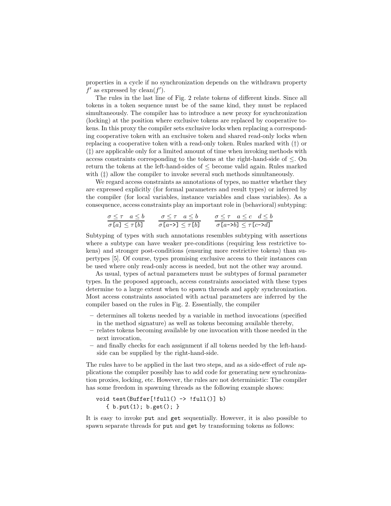properties in a cycle if no synchronization depends on the withdrawn property  $f'$  as expressed by clean( $f'$ ).

The rules in the last line of Fig. 2 relate tokens of different kinds. Since all tokens in a token sequence must be of the same kind, they must be replaced simultaneously. The compiler has to introduce a new proxy for synchronization (locking) at the position where exclusive tokens are replaced by cooperative tokens. In this proxy the compiler sets exclusive locks when replacing a corresponding cooperative token with an exclusive token and shared read-only locks when replacing a cooperative token with a read-only token. Rules marked with (†) or (‡) are applicable only for a limited amount of time when invoking methods with access constraints corresponding to the tokens at the right-hand-side of ≤. On return the tokens at the left-hand-sides of ≤ become valid again. Rules marked with  $(\ddagger)$  allow the compiler to invoke several such methods simultaneously.

We regard access constraints as annotations of types, no matter whether they are expressed explicitly (for formal parameters and result types) or inferred by the compiler (for local variables, instance variables and class variables). As a consequence, access constraints play an important role in (behavioral) subtyping:

$$
\frac{\sigma \leq \tau \quad a \leq b}{\sigma [a] \leq \tau [b]} \qquad \frac{\sigma \leq \tau \quad a \leq b}{\sigma [a - \tau] \leq \tau [b]} \qquad \frac{\sigma \leq \tau \quad a \leq c \quad d \leq b}{\sigma [a - \tau b] \leq \tau [c - \tau d]}
$$

Subtyping of types with such annotations resembles subtyping with assertions where a subtype can have weaker pre-conditions (requiring less restrictive tokens) and stronger post-conditions (ensuring more restrictive tokens) than supertypes [5]. Of course, types promising exclusive access to their instances can be used where only read-only access is needed, but not the other way around.

As usual, types of actual parameters must be subtypes of formal parameter types. In the proposed approach, access constraints associated with these types determine to a large extent when to spawn threads and apply synchronization. Most access constraints associated with actual parameters are inferred by the compiler based on the rules in Fig. 2. Essentially, the compiler

- determines all tokens needed by a variable in method invocations (specified in the method signature) as well as tokens becoming available thereby,
- relates tokens becoming available by one invocation with those needed in the next invocation,
- and finally checks for each assignment if all tokens needed by the left-handside can be supplied by the right-hand-side.

The rules have to be applied in the last two steps, and as a side-effect of rule applications the compiler possibly has to add code for generating new synchronization proxies, locking, etc. However, the rules are not deterministic: The compiler has some freedom in spawning threads as the following example shows:

```
void test(Buffer[!full() \rightarrow !full()] b)
   \{ b. put(1); b.get(); \}
```
It is easy to invoke put and get sequentially. However, it is also possible to spawn separate threads for put and get by transforming tokens as follows: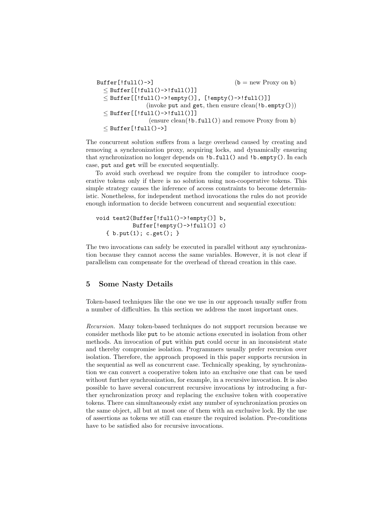```
Buffer[!full()->] (b = new Proxy on b)\leq Buffer[[!full()->!full()]]
  \leq Buffer [[!full()->!empty()], [!empty()->!full()]]
               (invoke put and get, then ensure clean(!b.\text{empty())})
  < Buffer[[!full()->!full()]]
                (ensure clean(!b.full()) and remove Proxy from b)
  < Buffer[!full()->]
```
The concurrent solution suffers from a large overhead caused by creating and removing a synchronization proxy, acquiring locks, and dynamically ensuring that synchronization no longer depends on !b.full() and !b.empty(). In each case, put and get will be executed sequentially.

To avoid such overhead we require from the compiler to introduce cooperative tokens only if there is no solution using non-cooperative tokens. This simple strategy causes the inference of access constraints to become deterministic. Nonetheless, for independent method invocations the rules do not provide enough information to decide between concurrent and sequential execution:

```
void test2(Buffer[!full()->!empty()] b,
            Buffer[:empty() \rightarrow !full()] c){ b.put(1); c.get(); }
```
The two invocations can safely be executed in parallel without any synchronization because they cannot access the same variables. However, it is not clear if parallelism can compensate for the overhead of thread creation in this case.

# 5 Some Nasty Details

Token-based techniques like the one we use in our approach usually suffer from a number of difficulties. In this section we address the most important ones.

Recursion. Many token-based techniques do not support recursion because we consider methods like put to be atomic actions executed in isolation from other methods. An invocation of put within put could occur in an inconsistent state and thereby compromise isolation. Programmers usually prefer recursion over isolation. Therefore, the approach proposed in this paper supports recursion in the sequential as well as concurrent case. Technically speaking, by synchronization we can convert a cooperative token into an exclusive one that can be used without further synchronization, for example, in a recursive invocation. It is also possible to have several concurrent recursive invocations by introducing a further synchronization proxy and replacing the exclusive token with cooperative tokens. There can simultaneously exist any number of synchronization proxies on the same object, all but at most one of them with an exclusive lock. By the use of assertions as tokens we still can ensure the required isolation. Pre-conditions have to be satisfied also for recursive invocations.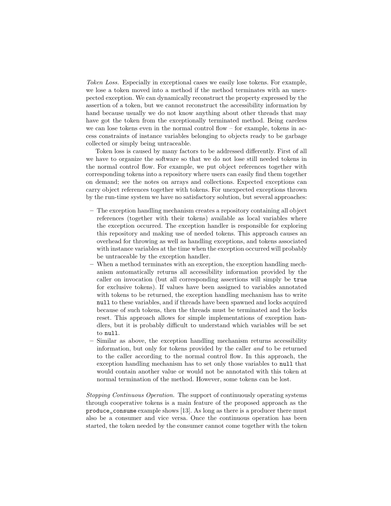Token Loss. Especially in exceptional cases we easily lose tokens. For example, we lose a token moved into a method if the method terminates with an unexpected exception. We can dynamically reconstruct the property expressed by the assertion of a token, but we cannot reconstruct the accessibility information by hand because usually we do not know anything about other threads that may have got the token from the exceptionally terminated method. Being careless we can lose tokens even in the normal control flow – for example, tokens in access constraints of instance variables belonging to objects ready to be garbage collected or simply being untraceable.

Token loss is caused by many factors to be addressed differently. First of all we have to organize the software so that we do not lose still needed tokens in the normal control flow. For example, we put object references together with corresponding tokens into a repository where users can easily find them together on demand; see the notes on arrays and collections. Expected exceptions can carry object references together with tokens. For unexpected exceptions thrown by the run-time system we have no satisfactory solution, but several approaches:

- The exception handling mechanism creates a repository containing all object references (together with their tokens) available as local variables where the exception occurred. The exception handler is responsible for exploring this repository and making use of needed tokens. This approach causes an overhead for throwing as well as handling exceptions, and tokens associated with instance variables at the time when the exception occurred will probably be untraceable by the exception handler.
- When a method terminates with an exception, the exception handling mechanism automatically returns all accessibility information provided by the caller on invocation (but all corresponding assertions will simply be true for exclusive tokens). If values have been assigned to variables annotated with tokens to be returned, the exception handling mechanism has to write null to these variables, and if threads have been spawned and locks acquired because of such tokens, then the threads must be terminated and the locks reset. This approach allows for simple implementations of exception handlers, but it is probably difficult to understand which variables will be set to null.
- Similar as above, the exception handling mechanism returns accessibility information, but only for tokens provided by the caller and to be returned to the caller according to the normal control flow. In this approach, the exception handling mechanism has to set only those variables to null that would contain another value or would not be annotated with this token at normal termination of the method. However, some tokens can be lost.

Stopping Continuous Operation. The support of continuously operating systems through cooperative tokens is a main feature of the proposed approach as the produce\_consume example shows [13]. As long as there is a producer there must also be a consumer and vice versa. Once the continuous operation has been started, the token needed by the consumer cannot come together with the token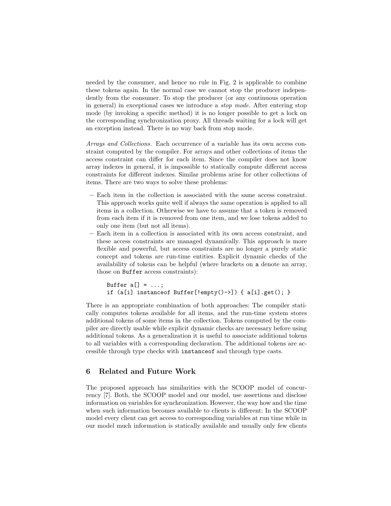needed by the consumer, and hence no rule in Fig. 2 is applicable to combine these tokens again. In the normal case we cannot stop the producer independently from the consumer. To stop the producer (or any continuous operation in general) in exceptional cases we introduce a stop mode. After entering stop mode (by invoking a specific method) it is no longer possible to get a lock on the corresponding synchronization proxy. All threads waiting for a lock will get an exception instead. There is no way back from stop mode.

Arrays and Collections. Each occurrence of a variable has its own access constraint computed by the compiler. For arrays and other collections of items the access constraint can differ for each item. Since the compiler does not know array indexes in general, it is impossible to statically compute different access constraints for different indexes. Similar problems arise for other collections of items. There are two ways to solve these problems:

- Each item in the collection is associated with the same access constraint. This approach works quite well if always the same operation is applied to all items in a collection. Otherwise we have to assume that a token is removed from each item if it is removed from one item, and we lose tokens added to only one item (but not all items).
- Each item in a collection is associated with its own access constraint, and these access constraints are managed dynamically. This approach is more flexible and powerful, but access constraints are no longer a purely static concept and tokens are run-time entities. Explicit dynamic checks of the availability of tokens can be helpful (where brackets on a denote an array, those on Buffer access constraints):

```
Buffer a[] = ...;if (a[i] instanceof Buffer[!empty()->]) { a[i].get(); }
```
There is an appropriate combination of both approaches: The compiler statically computes tokens available for all items, and the run-time system stores additional tokens of some items in the collection. Tokens computed by the compiler are directly usable while explicit dynamic checks are necessary before using additional tokens. As a generalization it is useful to associate additional tokens to all variables with a corresponding declaration. The additional tokens are accessible through type checks with instanceof and through type casts.

### 6 Related and Future Work

The proposed approach has similarities with the SCOOP model of concurrency [7]. Both, the SCOOP model and our model, use assertions and disclose information on variables for synchronization. However, the way how and the time when such information becomes available to clients is different: In the SCOOP model every client can get access to corresponding variables at run time while in our model much information is statically available and usually only few clients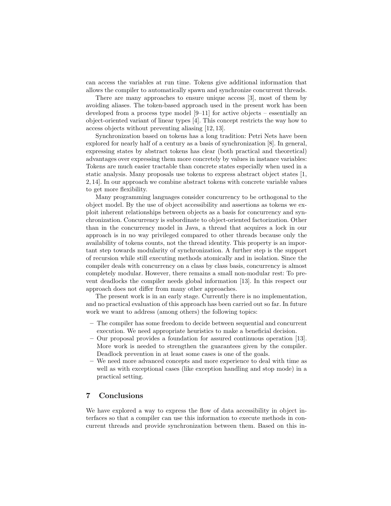can access the variables at run time. Tokens give additional information that allows the compiler to automatically spawn and synchronize concurrent threads.

There are many approaches to ensure unique access [3], most of them by avoiding aliases. The token-based approach used in the present work has been developed from a process type model [9–11] for active objects – essentially an object-oriented variant of linear types [4]. This concept restricts the way how to access objects without preventing aliasing [12, 13].

Synchronization based on tokens has a long tradition: Petri Nets have been explored for nearly half of a century as a basis of synchronization [8]. In general, expressing states by abstract tokens has clear (both practical and theoretical) advantages over expressing them more concretely by values in instance variables: Tokens are much easier tractable than concrete states especially when used in a static analysis. Many proposals use tokens to express abstract object states [1, 2, 14]. In our approach we combine abstract tokens with concrete variable values to get more flexibility.

Many programming languages consider concurrency to be orthogonal to the object model. By the use of object accessibility and assertions as tokens we exploit inherent relationships between objects as a basis for concurrency and synchronization. Concurrency is subordinate to object-oriented factorization. Other than in the concurrency model in Java, a thread that acquires a lock in our approach is in no way privileged compared to other threads because only the availability of tokens counts, not the thread identity. This property is an important step towards modularity of synchronization. A further step is the support of recursion while still executing methods atomically and in isolation. Since the compiler deals with concurrency on a class by class basis, concurrency is almost completely modular. However, there remains a small non-modular rest: To prevent deadlocks the compiler needs global information [13]. In this respect our approach does not differ from many other approaches.

The present work is in an early stage. Currently there is no implementation, and no practical evaluation of this approach has been carried out so far. In future work we want to address (among others) the following topics:

- The compiler has some freedom to decide between sequential and concurrent execution. We need appropriate heuristics to make a beneficial decision.
- Our proposal provides a foundation for assured continuous operation [13]. More work is needed to strengthen the guarantees given by the compiler. Deadlock prevention in at least some cases is one of the goals.
- We need more advanced concepts and more experience to deal with time as well as with exceptional cases (like exception handling and stop mode) in a practical setting.

#### 7 Conclusions

We have explored a way to express the flow of data accessibility in object interfaces so that a compiler can use this information to execute methods in concurrent threads and provide synchronization between them. Based on this in